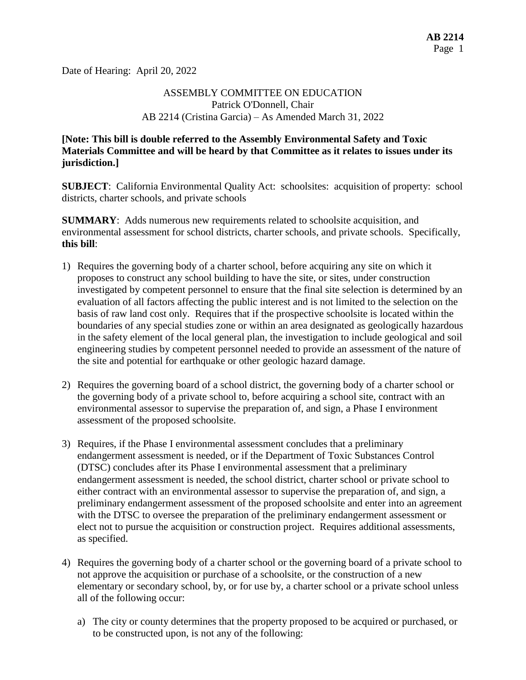Date of Hearing: April 20, 2022

# ASSEMBLY COMMITTEE ON EDUCATION Patrick O'Donnell, Chair AB 2214 (Cristina Garcia) – As Amended March 31, 2022

# **[Note: This bill is double referred to the Assembly Environmental Safety and Toxic Materials Committee and will be heard by that Committee as it relates to issues under its jurisdiction.]**

**SUBJECT**: California Environmental Quality Act: schoolsites: acquisition of property: school districts, charter schools, and private schools

**SUMMARY**: Adds numerous new requirements related to schoolsite acquisition, and environmental assessment for school districts, charter schools, and private schools. Specifically, **this bill**:

- 1) Requires the governing body of a charter school, before acquiring any site on which it proposes to construct any school building to have the site, or sites, under construction investigated by competent personnel to ensure that the final site selection is determined by an evaluation of all factors affecting the public interest and is not limited to the selection on the basis of raw land cost only. Requires that if the prospective schoolsite is located within the boundaries of any special studies zone or within an area designated as geologically hazardous in the safety element of the local general plan, the investigation to include geological and soil engineering studies by competent personnel needed to provide an assessment of the nature of the site and potential for earthquake or other geologic hazard damage.
- 2) Requires the governing board of a school district, the governing body of a charter school or the governing body of a private school to, before acquiring a school site, contract with an environmental assessor to supervise the preparation of, and sign, a Phase I environment assessment of the proposed schoolsite.
- 3) Requires, if the Phase I environmental assessment concludes that a preliminary endangerment assessment is needed, or if the Department of Toxic Substances Control (DTSC) concludes after its Phase I environmental assessment that a preliminary endangerment assessment is needed, the school district, charter school or private school to either contract with an environmental assessor to supervise the preparation of, and sign, a preliminary endangerment assessment of the proposed schoolsite and enter into an agreement with the DTSC to oversee the preparation of the preliminary endangerment assessment or elect not to pursue the acquisition or construction project. Requires additional assessments, as specified.
- 4) Requires the governing body of a charter school or the governing board of a private school to not approve the acquisition or purchase of a schoolsite, or the construction of a new elementary or secondary school, by, or for use by, a charter school or a private school unless all of the following occur:
	- a) The city or county determines that the property proposed to be acquired or purchased, or to be constructed upon, is not any of the following: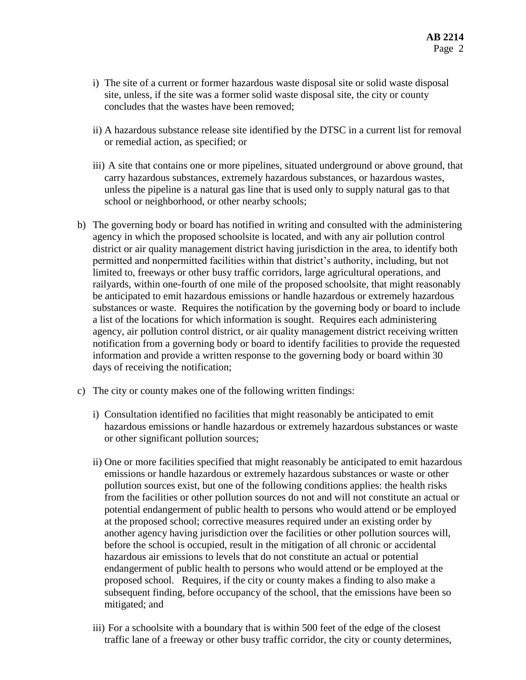- i) The site of a current or former hazardous waste disposal site or solid waste disposal site, unless, if the site was a former solid waste disposal site, the city or county concludes that the wastes have been removed;
- ii) A hazardous substance release site identified by the DTSC in a current list for removal or remedial action, as specified; or
- iii) A site that contains one or more pipelines, situated underground or above ground, that carry hazardous substances, extremely hazardous substances, or hazardous wastes, unless the pipeline is a natural gas line that is used only to supply natural gas to that school or neighborhood, or other nearby schools;
- b) The governing body or board has notified in writing and consulted with the administering agency in which the proposed schoolsite is located, and with any air pollution control district or air quality management district having jurisdiction in the area, to identify both permitted and nonpermitted facilities within that district's authority, including, but not limited to, freeways or other busy traffic corridors, large agricultural operations, and railyards, within one-fourth of one mile of the proposed schoolsite, that might reasonably be anticipated to emit hazardous emissions or handle hazardous or extremely hazardous substances or waste. Requires the notification by the governing body or board to include a list of the locations for which information is sought. Requires each administering agency, air pollution control district, or air quality management district receiving written notification from a governing body or board to identify facilities to provide the requested information and provide a written response to the governing body or board within 30 days of receiving the notification;
- c) The city or county makes one of the following written findings:
	- i) Consultation identified no facilities that might reasonably be anticipated to emit hazardous emissions or handle hazardous or extremely hazardous substances or waste or other significant pollution sources;
	- ii) One or more facilities specified that might reasonably be anticipated to emit hazardous emissions or handle hazardous or extremely hazardous substances or waste or other pollution sources exist, but one of the following conditions applies: the health risks from the facilities or other pollution sources do not and will not constitute an actual or potential endangerment of public health to persons who would attend or be employed at the proposed school; corrective measures required under an existing order by another agency having jurisdiction over the facilities or other pollution sources will, before the school is occupied, result in the mitigation of all chronic or accidental hazardous air emissions to levels that do not constitute an actual or potential endangerment of public health to persons who would attend or be employed at the proposed school. Requires, if the city or county makes a finding to also make a subsequent finding, before occupancy of the school, that the emissions have been so mitigated; and
	- iii) For a schoolsite with a boundary that is within 500 feet of the edge of the closest traffic lane of a freeway or other busy traffic corridor, the city or county determines,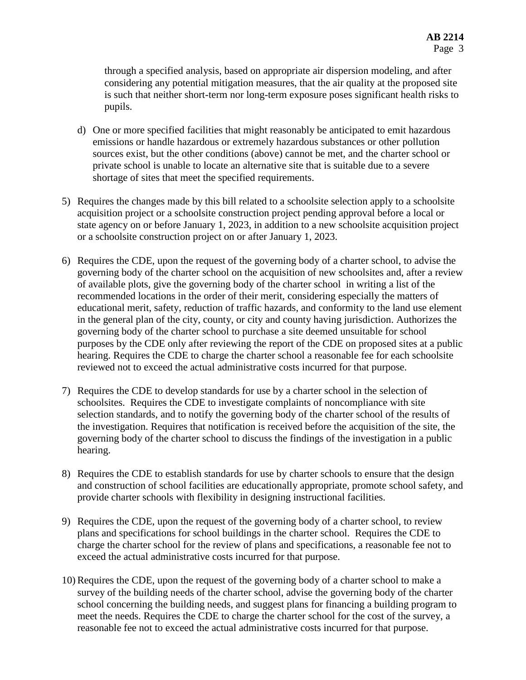through a specified analysis, based on appropriate air dispersion modeling, and after considering any potential mitigation measures, that the air quality at the proposed site is such that neither short-term nor long-term exposure poses significant health risks to pupils.

- d) One or more specified facilities that might reasonably be anticipated to emit hazardous emissions or handle hazardous or extremely hazardous substances or other pollution sources exist, but the other conditions (above) cannot be met, and the charter school or private school is unable to locate an alternative site that is suitable due to a severe shortage of sites that meet the specified requirements.
- 5) Requires the changes made by this bill related to a schoolsite selection apply to a schoolsite acquisition project or a schoolsite construction project pending approval before a local or state agency on or before January 1, 2023, in addition to a new schoolsite acquisition project or a schoolsite construction project on or after January 1, 2023.
- 6) Requires the CDE, upon the request of the governing body of a charter school, to advise the governing body of the charter school on the acquisition of new schoolsites and, after a review of available plots, give the governing body of the charter school in writing a list of the recommended locations in the order of their merit, considering especially the matters of educational merit, safety, reduction of traffic hazards, and conformity to the land use element in the general plan of the city, county, or city and county having jurisdiction. Authorizes the governing body of the charter school to purchase a site deemed unsuitable for school purposes by the CDE only after reviewing the report of the CDE on proposed sites at a public hearing. Requires the CDE to charge the charter school a reasonable fee for each schoolsite reviewed not to exceed the actual administrative costs incurred for that purpose.
- 7) Requires the CDE to develop standards for use by a charter school in the selection of schoolsites. Requires the CDE to investigate complaints of noncompliance with site selection standards, and to notify the governing body of the charter school of the results of the investigation. Requires that notification is received before the acquisition of the site, the governing body of the charter school to discuss the findings of the investigation in a public hearing.
- 8) Requires the CDE to establish standards for use by charter schools to ensure that the design and construction of school facilities are educationally appropriate, promote school safety, and provide charter schools with flexibility in designing instructional facilities.
- 9) Requires the CDE, upon the request of the governing body of a charter school, to review plans and specifications for school buildings in the charter school. Requires the CDE to charge the charter school for the review of plans and specifications, a reasonable fee not to exceed the actual administrative costs incurred for that purpose.
- 10) Requires the CDE, upon the request of the governing body of a charter school to make a survey of the building needs of the charter school, advise the governing body of the charter school concerning the building needs, and suggest plans for financing a building program to meet the needs. Requires the CDE to charge the charter school for the cost of the survey, a reasonable fee not to exceed the actual administrative costs incurred for that purpose.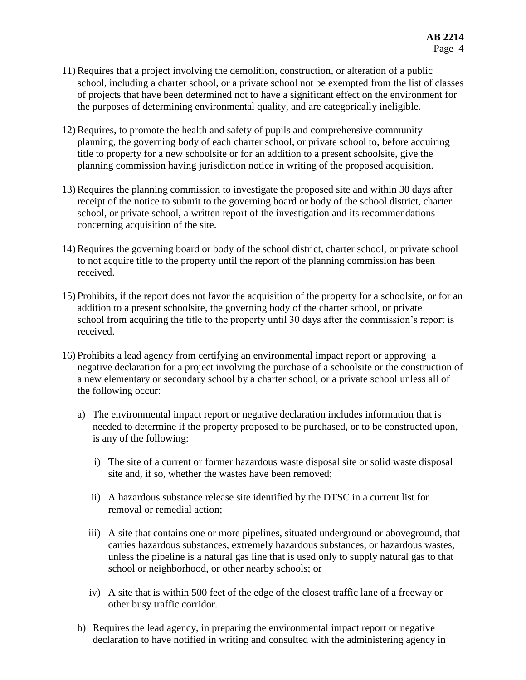- 11) Requires that a project involving the demolition, construction, or alteration of a public school, including a charter school, or a private school not be exempted from the list of classes of projects that have been determined not to have a significant effect on the environment for the purposes of determining environmental quality, and are categorically ineligible.
- 12) Requires, to promote the health and safety of pupils and comprehensive community planning, the governing body of each charter school, or private school to, before acquiring title to property for a new schoolsite or for an addition to a present schoolsite, give the planning commission having jurisdiction notice in writing of the proposed acquisition.
- 13) Requires the planning commission to investigate the proposed site and within 30 days after receipt of the notice to submit to the governing board or body of the school district, charter school, or private school, a written report of the investigation and its recommendations concerning acquisition of the site.
- 14) Requires the governing board or body of the school district, charter school, or private school to not acquire title to the property until the report of the planning commission has been received.
- 15) Prohibits, if the report does not favor the acquisition of the property for a schoolsite, or for an addition to a present schoolsite, the governing body of the charter school, or private school from acquiring the title to the property until 30 days after the commission's report is received.
- 16) Prohibits a lead agency from certifying an environmental impact report or approving a negative declaration for a project involving the purchase of a schoolsite or the construction of a new elementary or secondary school by a charter school, or a private school unless all of the following occur:
	- a) The environmental impact report or negative declaration includes information that is needed to determine if the property proposed to be purchased, or to be constructed upon, is any of the following:
		- i) The site of a current or former hazardous waste disposal site or solid waste disposal site and, if so, whether the wastes have been removed;
		- ii) A hazardous substance release site identified by the DTSC in a current list for removal or remedial action;
		- iii) A site that contains one or more pipelines, situated underground or aboveground, that carries hazardous substances, extremely hazardous substances, or hazardous wastes, unless the pipeline is a natural gas line that is used only to supply natural gas to that school or neighborhood, or other nearby schools; or
		- iv) A site that is within 500 feet of the edge of the closest traffic lane of a freeway or other busy traffic corridor.
	- b) Requires the lead agency, in preparing the environmental impact report or negative declaration to have notified in writing and consulted with the administering agency in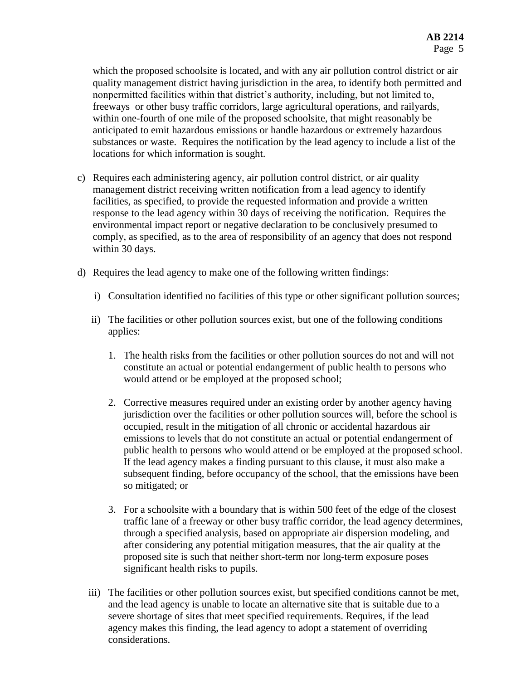which the proposed schoolsite is located, and with any air pollution control district or air quality management district having jurisdiction in the area, to identify both permitted and nonpermitted facilities within that district's authority, including, but not limited to, freeways or other busy traffic corridors, large agricultural operations, and railyards, within one-fourth of one mile of the proposed schoolsite, that might reasonably be anticipated to emit hazardous emissions or handle hazardous or extremely hazardous substances or waste. Requires the notification by the lead agency to include a list of the locations for which information is sought.

- c) Requires each administering agency, air pollution control district, or air quality management district receiving written notification from a lead agency to identify facilities, as specified, to provide the requested information and provide a written response to the lead agency within 30 days of receiving the notification. Requires the environmental impact report or negative declaration to be conclusively presumed to comply, as specified, as to the area of responsibility of an agency that does not respond within 30 days.
- d) Requires the lead agency to make one of the following written findings:
	- i) Consultation identified no facilities of this type or other significant pollution sources;
	- ii) The facilities or other pollution sources exist, but one of the following conditions applies:
		- 1. The health risks from the facilities or other pollution sources do not and will not constitute an actual or potential endangerment of public health to persons who would attend or be employed at the proposed school;
		- 2. Corrective measures required under an existing order by another agency having jurisdiction over the facilities or other pollution sources will, before the school is occupied, result in the mitigation of all chronic or accidental hazardous air emissions to levels that do not constitute an actual or potential endangerment of public health to persons who would attend or be employed at the proposed school. If the lead agency makes a finding pursuant to this clause, it must also make a subsequent finding, before occupancy of the school, that the emissions have been so mitigated; or
		- 3. For a schoolsite with a boundary that is within 500 feet of the edge of the closest traffic lane of a freeway or other busy traffic corridor, the lead agency determines, through a specified analysis, based on appropriate air dispersion modeling, and after considering any potential mitigation measures, that the air quality at the proposed site is such that neither short-term nor long-term exposure poses significant health risks to pupils.
	- iii) The facilities or other pollution sources exist, but specified conditions cannot be met, and the lead agency is unable to locate an alternative site that is suitable due to a severe shortage of sites that meet specified requirements. Requires, if the lead agency makes this finding, the lead agency to adopt a statement of overriding considerations.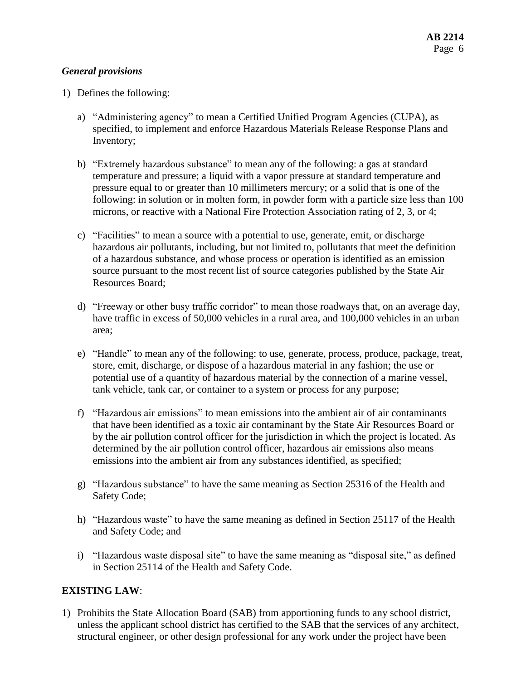## *General provisions*

- 1) Defines the following:
	- a) "Administering agency" to mean a Certified Unified Program Agencies (CUPA), as specified, to implement and enforce Hazardous Materials Release Response Plans and Inventory;
	- b) "Extremely hazardous substance" to mean any of the following: a gas at standard temperature and pressure; a liquid with a vapor pressure at standard temperature and pressure equal to or greater than 10 millimeters mercury; or a solid that is one of the following: in solution or in molten form, in powder form with a particle size less than 100 microns, or reactive with a National Fire Protection Association rating of 2, 3, or 4;
	- c) "Facilities" to mean a source with a potential to use, generate, emit, or discharge hazardous air pollutants, including, but not limited to, pollutants that meet the definition of a hazardous substance, and whose process or operation is identified as an emission source pursuant to the most recent list of source categories published by the State Air Resources Board;
	- d) "Freeway or other busy traffic corridor" to mean those roadways that, on an average day, have traffic in excess of 50,000 vehicles in a rural area, and 100,000 vehicles in an urban area;
	- e) "Handle" to mean any of the following: to use, generate, process, produce, package, treat, store, emit, discharge, or dispose of a hazardous material in any fashion; the use or potential use of a quantity of hazardous material by the connection of a marine vessel, tank vehicle, tank car, or container to a system or process for any purpose;
	- f) "Hazardous air emissions" to mean emissions into the ambient air of air contaminants that have been identified as a toxic air contaminant by the State Air Resources Board or by the air pollution control officer for the jurisdiction in which the project is located. As determined by the air pollution control officer, hazardous air emissions also means emissions into the ambient air from any substances identified, as specified;
	- g) "Hazardous substance" to have the same meaning as Section 25316 of the Health and Safety Code;
	- h) "Hazardous waste" to have the same meaning as defined in Section 25117 of the Health and Safety Code; and
	- i) "Hazardous waste disposal site" to have the same meaning as "disposal site," as defined in Section 25114 of the Health and Safety Code.

# **EXISTING LAW**:

1) Prohibits the State Allocation Board (SAB) from apportioning funds to any school district, unless the applicant school district has certified to the SAB that the services of any architect, structural engineer, or other design professional for any work under the project have been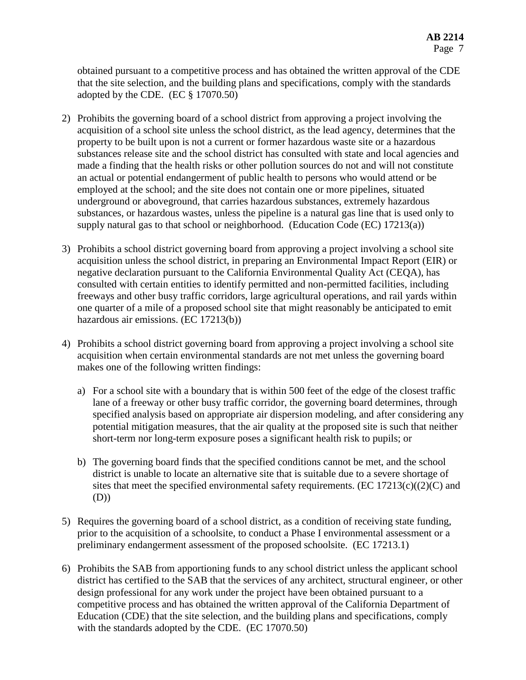obtained pursuant to a competitive process and has obtained the written approval of the CDE that the site selection, and the building plans and specifications, comply with the standards adopted by the CDE. (EC § 17070.50)

- 2) Prohibits the governing board of a school district from approving a project involving the acquisition of a school site unless the school district, as the lead agency, determines that the property to be built upon is not a current or former hazardous waste site or a hazardous substances release site and the school district has consulted with state and local agencies and made a finding that the health risks or other pollution sources do not and will not constitute an actual or potential endangerment of public health to persons who would attend or be employed at the school; and the site does not contain one or more pipelines, situated underground or aboveground, that carries hazardous substances, extremely hazardous substances, or hazardous wastes, unless the pipeline is a natural gas line that is used only to supply natural gas to that school or neighborhood. (Education Code (EC) 17213(a))
- 3) Prohibits a school district governing board from approving a project involving a school site acquisition unless the school district, in preparing an Environmental Impact Report (EIR) or negative declaration pursuant to the California Environmental Quality Act (CEQA), has consulted with certain entities to identify permitted and non-permitted facilities, including freeways and other busy traffic corridors, large agricultural operations, and rail yards within one quarter of a mile of a proposed school site that might reasonably be anticipated to emit hazardous air emissions. (EC 17213(b))
- 4) Prohibits a school district governing board from approving a project involving a school site acquisition when certain environmental standards are not met unless the governing board makes one of the following written findings:
	- a) For a school site with a boundary that is within 500 feet of the edge of the closest traffic lane of a freeway or other busy traffic corridor, the governing board determines, through specified analysis based on appropriate air dispersion modeling, and after considering any potential mitigation measures, that the air quality at the proposed site is such that neither short-term nor long-term exposure poses a significant health risk to pupils; or
	- b) The governing board finds that the specified conditions cannot be met, and the school district is unable to locate an alternative site that is suitable due to a severe shortage of sites that meet the specified environmental safety requirements. (EC  $17213(c)((2)(C)$  and (D))
- 5) Requires the governing board of a school district, as a condition of receiving state funding, prior to the acquisition of a schoolsite, to conduct a Phase I environmental assessment or a preliminary endangerment assessment of the proposed schoolsite. (EC 17213.1)
- 6) Prohibits the SAB from apportioning funds to any school district unless the applicant school district has certified to the SAB that the services of any architect, structural engineer, or other design professional for any work under the project have been obtained pursuant to a competitive process and has obtained the written approval of the California Department of Education (CDE) that the site selection, and the building plans and specifications, comply with the standards adopted by the CDE. (EC 17070.50)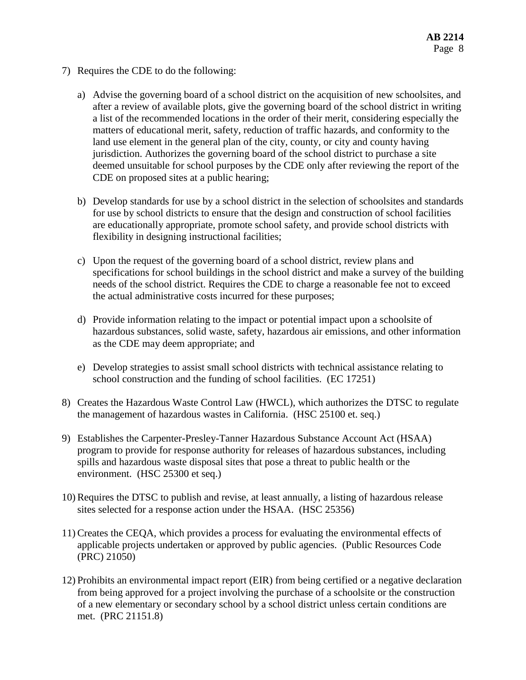- 7) Requires the CDE to do the following:
	- a) Advise the governing board of a school district on the acquisition of new schoolsites, and after a review of available plots, give the governing board of the school district in writing a list of the recommended locations in the order of their merit, considering especially the matters of educational merit, safety, reduction of traffic hazards, and conformity to the land use element in the general plan of the city, county, or city and county having jurisdiction. Authorizes the governing board of the school district to purchase a site deemed unsuitable for school purposes by the CDE only after reviewing the report of the CDE on proposed sites at a public hearing;
	- b) Develop standards for use by a school district in the selection of schoolsites and standards for use by school districts to ensure that the design and construction of school facilities are educationally appropriate, promote school safety, and provide school districts with flexibility in designing instructional facilities;
	- c) Upon the request of the governing board of a school district, review plans and specifications for school buildings in the school district and make a survey of the building needs of the school district. Requires the CDE to charge a reasonable fee not to exceed the actual administrative costs incurred for these purposes;
	- d) Provide information relating to the impact or potential impact upon a schoolsite of hazardous substances, solid waste, safety, hazardous air emissions, and other information as the CDE may deem appropriate; and
	- e) Develop strategies to assist small school districts with technical assistance relating to school construction and the funding of school facilities. (EC 17251)
- 8) Creates the Hazardous Waste Control Law (HWCL), which authorizes the DTSC to regulate the management of hazardous wastes in California. (HSC 25100 et. seq.)
- 9) Establishes the Carpenter-Presley-Tanner Hazardous Substance Account Act (HSAA) program to provide for response authority for releases of hazardous substances, including spills and hazardous waste disposal sites that pose a threat to public health or the environment. (HSC 25300 et seq.)
- 10) Requires the DTSC to publish and revise, at least annually, a listing of hazardous release sites selected for a response action under the HSAA. (HSC 25356)
- 11) Creates the CEQA, which provides a process for evaluating the environmental effects of applicable projects undertaken or approved by public agencies. (Public Resources Code (PRC) 21050)
- 12) Prohibits an environmental impact report (EIR) from being certified or a negative declaration from being approved for a project involving the purchase of a schoolsite or the construction of a new elementary or secondary school by a school district unless certain conditions are met. (PRC 21151.8)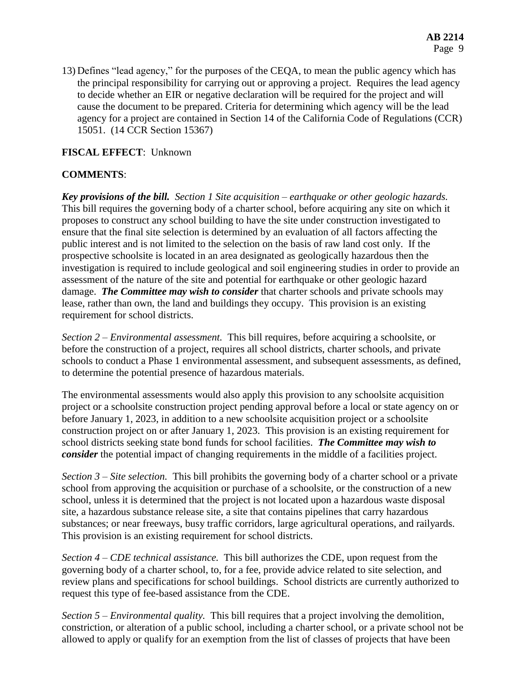13) Defines "lead agency," for the purposes of the CEQA, to mean the public agency which has the principal responsibility for carrying out or approving a project. Requires the lead agency to decide whether an EIR or negative declaration will be required for the project and will cause the document to be prepared. Criteria for determining which agency will be the lead agency for a project are contained in Section 14 of the California Code of Regulations (CCR) 15051. (14 CCR Section 15367)

# **FISCAL EFFECT**: Unknown

# **COMMENTS**:

*Key provisions of the bill. Section 1 Site acquisition – earthquake or other geologic hazards.*  This bill requires the governing body of a charter school, before acquiring any site on which it proposes to construct any school building to have the site under construction investigated to ensure that the final site selection is determined by an evaluation of all factors affecting the public interest and is not limited to the selection on the basis of raw land cost only. If the prospective schoolsite is located in an area designated as geologically hazardous then the investigation is required to include geological and soil engineering studies in order to provide an assessment of the nature of the site and potential for earthquake or other geologic hazard damage. *The Committee may wish to consider* that charter schools and private schools may lease, rather than own, the land and buildings they occupy. This provision is an existing requirement for school districts.

*Section 2 – Environmental assessment.* This bill requires, before acquiring a schoolsite, or before the construction of a project, requires all school districts, charter schools, and private schools to conduct a Phase 1 environmental assessment, and subsequent assessments, as defined, to determine the potential presence of hazardous materials.

The environmental assessments would also apply this provision to any schoolsite acquisition project or a schoolsite construction project pending approval before a local or state agency on or before January 1, 2023, in addition to a new schoolsite acquisition project or a schoolsite construction project on or after January 1, 2023. This provision is an existing requirement for school districts seeking state bond funds for school facilities. *The Committee may wish to consider* the potential impact of changing requirements in the middle of a facilities project.

*Section 3 – Site selection.* This bill prohibits the governing body of a charter school or a private school from approving the acquisition or purchase of a schoolsite, or the construction of a new school, unless it is determined that the project is not located upon a hazardous waste disposal site, a hazardous substance release site, a site that contains pipelines that carry hazardous substances; or near freeways, busy traffic corridors, large agricultural operations, and railyards. This provision is an existing requirement for school districts.

*Section 4 – CDE technical assistance.* This bill authorizes the CDE, upon request from the governing body of a charter school, to, for a fee, provide advice related to site selection, and review plans and specifications for school buildings. School districts are currently authorized to request this type of fee-based assistance from the CDE.

*Section 5 – Environmental quality.* This bill requires that a project involving the demolition, constriction, or alteration of a public school, including a charter school, or a private school not be allowed to apply or qualify for an exemption from the list of classes of projects that have been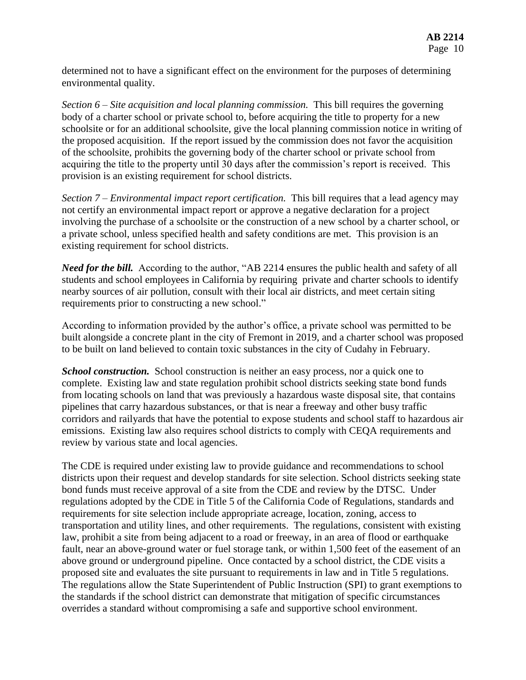determined not to have a significant effect on the environment for the purposes of determining environmental quality.

*Section 6 – Site acquisition and local planning commission.* This bill requires the governing body of a charter school or private school to, before acquiring the title to property for a new schoolsite or for an additional schoolsite, give the local planning commission notice in writing of the proposed acquisition. If the report issued by the commission does not favor the acquisition of the schoolsite, prohibits the governing body of the charter school or private school from acquiring the title to the property until 30 days after the commission's report is received. This provision is an existing requirement for school districts.

*Section 7 – Environmental impact report certification.* This bill requires that a lead agency may not certify an environmental impact report or approve a negative declaration for a project involving the purchase of a schoolsite or the construction of a new school by a charter school, or a private school, unless specified health and safety conditions are met. This provision is an existing requirement for school districts.

*Need for the bill.* According to the author, "AB 2214 ensures the public health and safety of all students and school employees in California by requiring private and charter schools to identify nearby sources of air pollution, consult with their local air districts, and meet certain siting requirements prior to constructing a new school."

According to information provided by the author's office, a private school was permitted to be built alongside a concrete plant in the city of Fremont in 2019, and a charter school was proposed to be built on land believed to contain toxic substances in the city of Cudahy in February.

*School construction.* School construction is neither an easy process, nor a quick one to complete. Existing law and state regulation prohibit school districts seeking state bond funds from locating schools on land that was previously a hazardous waste disposal site, that contains pipelines that carry hazardous substances, or that is near a freeway and other busy traffic corridors and railyards that have the potential to expose students and school staff to hazardous air emissions. Existing law also requires school districts to comply with CEQA requirements and review by various state and local agencies.

The CDE is required under existing law to provide guidance and recommendations to school districts upon their request and develop standards for site selection. School districts seeking state bond funds must receive approval of a site from the CDE and review by the DTSC. Under regulations adopted by the CDE in Title 5 of the California Code of Regulations, standards and requirements for site selection include appropriate acreage, location, zoning, access to transportation and utility lines, and other requirements. The regulations, consistent with existing law, prohibit a site from being adjacent to a road or freeway, in an area of flood or earthquake fault, near an above-ground water or fuel storage tank, or within 1,500 feet of the easement of an above ground or underground pipeline. Once contacted by a school district, the CDE visits a proposed site and evaluates the site pursuant to requirements in law and in Title 5 regulations. The regulations allow the State Superintendent of Public Instruction (SPI) to grant exemptions to the standards if the school district can demonstrate that mitigation of specific circumstances overrides a standard without compromising a safe and supportive school environment.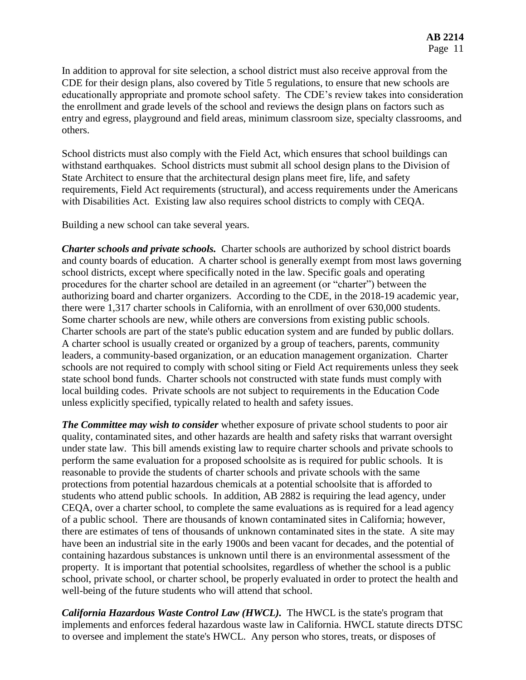In addition to approval for site selection, a school district must also receive approval from the CDE for their design plans, also covered by Title 5 regulations, to ensure that new schools are educationally appropriate and promote school safety. The CDE's review takes into consideration the enrollment and grade levels of the school and reviews the design plans on factors such as entry and egress, playground and field areas, minimum classroom size, specialty classrooms, and others.

School districts must also comply with the Field Act, which ensures that school buildings can withstand earthquakes. School districts must submit all school design plans to the Division of State Architect to ensure that the architectural design plans meet fire, life, and safety requirements, Field Act requirements (structural), and access requirements under the Americans with Disabilities Act. Existing law also requires school districts to comply with CEQA.

Building a new school can take several years.

*Charter schools and private schools.* Charter schools are authorized by school district boards and county boards of education. A charter school is generally exempt from most laws governing school districts, except where specifically noted in the law. Specific goals and operating procedures for the charter school are detailed in an agreement (or "charter") between the authorizing board and charter organizers. According to the CDE, in the 2018-19 academic year, there were 1,317 charter schools in California, with an enrollment of over 630,000 students. Some charter schools are new, while others are conversions from existing public schools. Charter schools are part of the state's public education system and are funded by public dollars. A charter school is usually created or organized by a group of teachers, parents, community leaders, a community-based organization, or an education management organization. Charter schools are not required to comply with school siting or Field Act requirements unless they seek state school bond funds. Charter schools not constructed with state funds must comply with local building codes. Private schools are not subject to requirements in the Education Code unless explicitly specified, typically related to health and safety issues.

*The Committee may wish to consider* whether exposure of private school students to poor air quality, contaminated sites, and other hazards are health and safety risks that warrant oversight under state law. This bill amends existing law to require charter schools and private schools to perform the same evaluation for a proposed schoolsite as is required for public schools. It is reasonable to provide the students of charter schools and private schools with the same protections from potential hazardous chemicals at a potential schoolsite that is afforded to students who attend public schools. In addition, AB 2882 is requiring the lead agency, under CEQA, over a charter school, to complete the same evaluations as is required for a lead agency of a public school. There are thousands of known contaminated sites in California; however, there are estimates of tens of thousands of unknown contaminated sites in the state. A site may have been an industrial site in the early 1900s and been vacant for decades, and the potential of containing hazardous substances is unknown until there is an environmental assessment of the property. It is important that potential schoolsites, regardless of whether the school is a public school, private school, or charter school, be properly evaluated in order to protect the health and well-being of the future students who will attend that school.

*California Hazardous Waste Control Law (HWCL).* The HWCL is the state's program that implements and enforces federal hazardous waste law in California. HWCL statute directs DTSC to oversee and implement the state's HWCL. Any person who stores, treats, or disposes of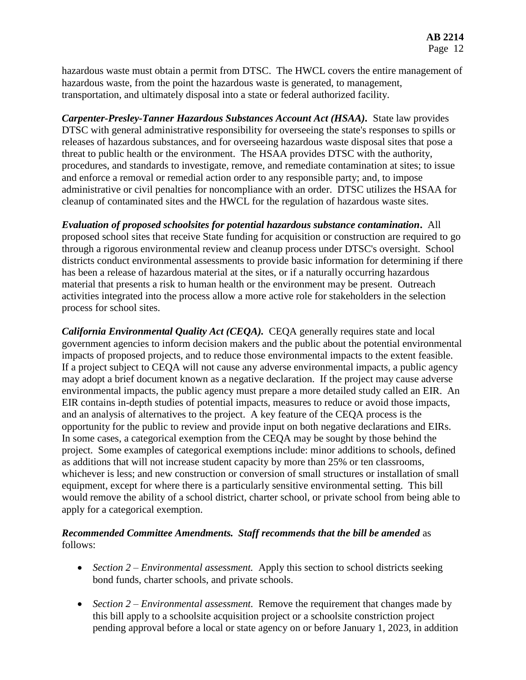hazardous waste must obtain a permit from DTSC. The HWCL covers the entire management of hazardous waste, from the point the hazardous waste is generated, to management, transportation, and ultimately disposal into a state or federal authorized facility.

*Carpenter-Presley-Tanner Hazardous Substances Account Act (HSAA).* State law provides DTSC with general administrative responsibility for overseeing the state's responses to spills or releases of hazardous substances, and for overseeing hazardous waste disposal sites that pose a threat to public health or the environment. The HSAA provides DTSC with the authority, procedures, and standards to investigate, remove, and remediate contamination at sites; to issue and enforce a removal or remedial action order to any responsible party; and, to impose administrative or civil penalties for noncompliance with an order. DTSC utilizes the HSAA for cleanup of contaminated sites and the HWCL for the regulation of hazardous waste sites.

*Evaluation of proposed schoolsites for potential hazardous substance contamination***.** All proposed school sites that receive State funding for acquisition or construction are required to go through a rigorous environmental review and cleanup process under DTSC's oversight. School districts conduct environmental assessments to provide basic information for determining if there has been a release of hazardous material at the sites, or if a naturally occurring hazardous material that presents a risk to human health or the environment may be present. Outreach activities integrated into the process allow a more active role for stakeholders in the selection process for school sites.

*California Environmental Quality Act (CEQA).* CEQA generally requires state and local government agencies to inform decision makers and the public about the potential environmental impacts of proposed projects, and to reduce those environmental impacts to the extent feasible. If a project subject to CEQA will not cause any adverse environmental impacts, a public agency may adopt a brief document known as a negative declaration. If the project may cause adverse environmental impacts, the public agency must prepare a more detailed study called an EIR. An EIR contains in-depth studies of potential impacts, measures to reduce or avoid those impacts, and an analysis of alternatives to the project. A key feature of the CEQA process is the opportunity for the public to review and provide input on both negative declarations and EIRs. In some cases, a categorical exemption from the CEQA may be sought by those behind the project. Some examples of categorical exemptions include: minor additions to schools, defined as additions that will not increase student capacity by more than 25% or ten classrooms, whichever is less; and new construction or conversion of small structures or installation of small equipment, except for where there is a particularly sensitive environmental setting. This bill would remove the ability of a school district, charter school, or private school from being able to apply for a categorical exemption.

## *Recommended Committee Amendments. Staff recommends that the bill be amended* as follows:

- *Section 2 Environmental assessment.* Apply this section to school districts seeking bond funds, charter schools, and private schools.
- *Section 2 – Environmental assessment.* Remove the requirement that changes made by this bill apply to a schoolsite acquisition project or a schoolsite constriction project pending approval before a local or state agency on or before January 1, 2023, in addition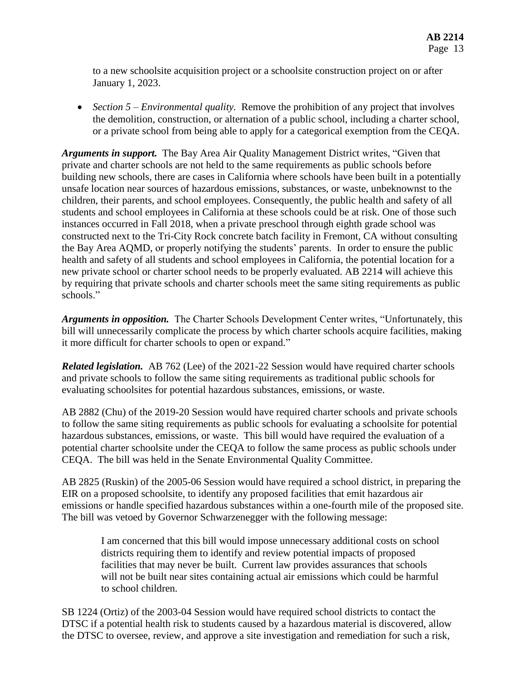to a new schoolsite acquisition project or a schoolsite construction project on or after January 1, 2023.

 *Section 5 – Environmental quality.* Remove the prohibition of any project that involves the demolition, construction, or alternation of a public school, including a charter school, or a private school from being able to apply for a categorical exemption from the CEQA.

*Arguments in support.* The Bay Area Air Quality Management District writes, "Given that private and charter schools are not held to the same requirements as public schools before building new schools, there are cases in California where schools have been built in a potentially unsafe location near sources of hazardous emissions, substances, or waste, unbeknownst to the children, their parents, and school employees. Consequently, the public health and safety of all students and school employees in California at these schools could be at risk. One of those such instances occurred in Fall 2018, when a private preschool through eighth grade school was constructed next to the Tri-City Rock concrete batch facility in Fremont, CA without consulting the Bay Area AQMD, or properly notifying the students' parents. In order to ensure the public health and safety of all students and school employees in California, the potential location for a new private school or charter school needs to be properly evaluated. AB 2214 will achieve this by requiring that private schools and charter schools meet the same siting requirements as public schools."

*Arguments in opposition.* The Charter Schools Development Center writes, "Unfortunately, this bill will unnecessarily complicate the process by which charter schools acquire facilities, making it more difficult for charter schools to open or expand."

*Related legislation.* AB 762 (Lee) of the 2021-22 Session would have required charter schools and private schools to follow the same siting requirements as traditional public schools for evaluating schoolsites for potential hazardous substances, emissions, or waste.

AB 2882 (Chu) of the 2019-20 Session would have required charter schools and private schools to follow the same siting requirements as public schools for evaluating a schoolsite for potential hazardous substances, emissions, or waste. This bill would have required the evaluation of a potential charter schoolsite under the CEQA to follow the same process as public schools under CEQA. The bill was held in the Senate Environmental Quality Committee.

AB 2825 (Ruskin) of the 2005-06 Session would have required a school district, in preparing the EIR on a proposed schoolsite, to identify any proposed facilities that emit hazardous air emissions or handle specified hazardous substances within a one-fourth mile of the proposed site. The bill was vetoed by Governor Schwarzenegger with the following message:

I am concerned that this bill would impose unnecessary additional costs on school districts requiring them to identify and review potential impacts of proposed facilities that may never be built. Current law provides assurances that schools will not be built near sites containing actual air emissions which could be harmful to school children.

SB 1224 (Ortiz) of the 2003-04 Session would have required school districts to contact the DTSC if a potential health risk to students caused by a hazardous material is discovered, allow the DTSC to oversee, review, and approve a site investigation and remediation for such a risk,